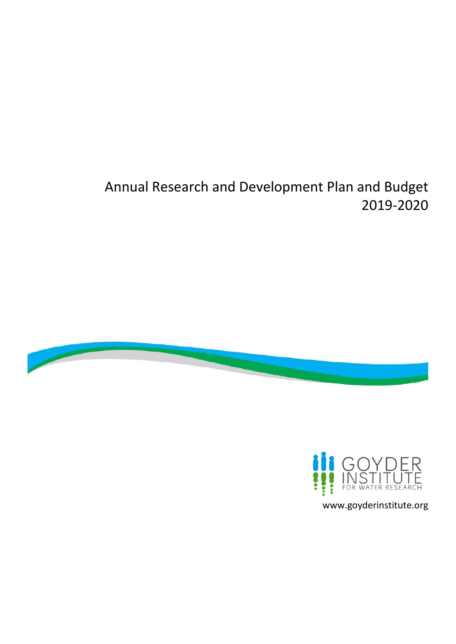# Annual Research and Development Plan and Budget 2019-2020





www.goyderinstitute.org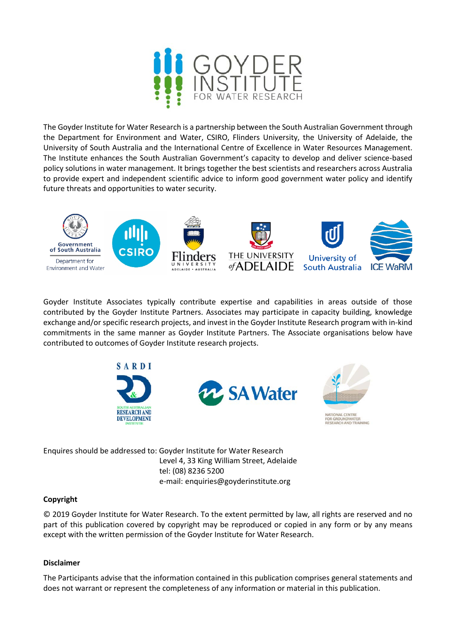

The Goyder Institute for Water Research is a partnership between the South Australian Government through the Department for Environment and Water, CSIRO, Flinders University, the University of Adelaide, the University of South Australia and the International Centre of Excellence in Water Resources Management. The Institute enhances the South Australian Government's capacity to develop and deliver science-based policy solutions in water management. It brings together the best scientists and researchers across Australia to provide expert and independent scientific advice to inform good government water policy and identify future threats and opportunities to water security.



Goyder Institute Associates typically contribute expertise and capabilities in areas outside of those contributed by the Goyder Institute Partners. Associates may participate in capacity building, knowledge exchange and/or specific research projects, and invest in the Goyder Institute Research program with in-kind commitments in the same manner as Goyder Institute Partners. The Associate organisations below have contributed to outcomes of Goyder Institute research projects.







R GROUNDWATER<br>SEARCH AND TRAINING

Enquires should be addressed to: Goyder Institute for Water Research Level 4, 33 King William Street, Adelaide tel: (08) 8236 5200 e-mail: enquiries@goyderinstitute.org

#### **Copyright**

© 2019 Goyder Institute for Water Research. To the extent permitted by law, all rights are reserved and no part of this publication covered by copyright may be reproduced or copied in any form or by any means except with the written permission of the Goyder Institute for Water Research.

#### **Disclaimer**

The Participants advise that the information contained in this publication comprises general statements and does not warrant or represent the completeness of any information or material in this publication.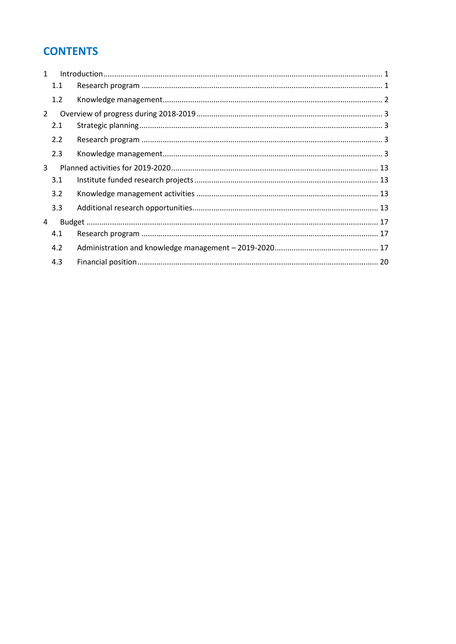## **CONTENTS**

| $\mathbf{1}$   |     |  |
|----------------|-----|--|
|                | 1.1 |  |
|                | 1.2 |  |
| $\overline{2}$ |     |  |
|                | 2.1 |  |
|                | 2.2 |  |
|                | 2.3 |  |
| 3              |     |  |
|                | 3.1 |  |
|                | 3.2 |  |
|                | 3.3 |  |
| 4              |     |  |
|                | 4.1 |  |
|                | 4.2 |  |
|                | 4.3 |  |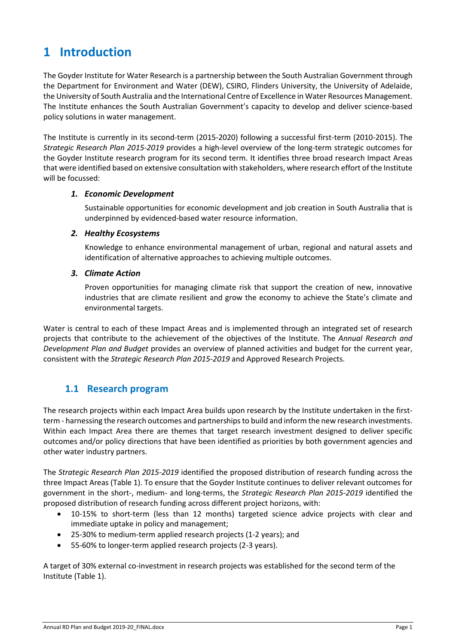## <span id="page-3-0"></span>**1 Introduction**

The Goyder Institute for Water Research is a partnership between the South Australian Government through the Department for Environment and Water (DEW), CSIRO, Flinders University, the University of Adelaide, the University of South Australia and the International Centre of Excellence in Water Resources Management. The Institute enhances the South Australian Government's capacity to develop and deliver science-based policy solutions in water management.

The Institute is currently in its second-term (2015-2020) following a successful first-term (2010-2015). The *Strategic Research Plan 2015-2019* provides a high-level overview of the long-term strategic outcomes for the Goyder Institute research program for its second term. It identifies three broad research Impact Areas that were identified based on extensive consultation with stakeholders, where research effort of the Institute will be focussed:

#### *1. Economic Development*

Sustainable opportunities for economic development and job creation in South Australia that is underpinned by evidenced-based water resource information.

#### *2. Healthy Ecosystems*

Knowledge to enhance environmental management of urban, regional and natural assets and identification of alternative approaches to achieving multiple outcomes.

#### *3. Climate Action*

Proven opportunities for managing climate risk that support the creation of new, innovative industries that are climate resilient and grow the economy to achieve the State's climate and environmental targets.

Water is central to each of these Impact Areas and is implemented through an integrated set of research projects that contribute to the achievement of the objectives of the Institute. The *Annual Research and Development Plan and Budget* provides an overview of planned activities and budget for the current year, consistent with the *Strategic Research Plan 2015-2019* and Approved Research Projects.

#### <span id="page-3-1"></span>**1.1 Research program**

The research projects within each Impact Area builds upon research by the Institute undertaken in the firstterm - harnessing the research outcomes and partnerships to build and inform the new research investments. Within each Impact Area there are themes that target research investment designed to deliver specific outcomes and/or policy directions that have been identified as priorities by both government agencies and other water industry partners.

The *Strategic Research Plan 2015-2019* identified the proposed distribution of research funding across the three Impact Areas (Table 1). To ensure that the Goyder Institute continues to deliver relevant outcomes for government in the short-, medium- and long-terms, the *Strategic Research Plan 2015-2019* identified the proposed distribution of research funding across different project horizons, with:

- 10-15% to short-term (less than 12 months) targeted science advice projects with clear and immediate uptake in policy and management;
- 25-30% to medium-term applied research projects (1-2 years); and
- 55-60% to longer-term applied research projects (2-3 years).

A target of 30% external co-investment in research projects was established for the second term of the Institute (Table 1).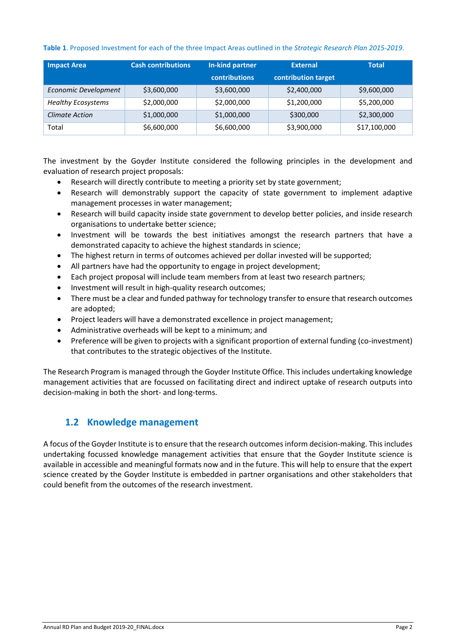#### **Table 1**. Proposed Investment for each of the three Impact Areas outlined in the *Strategic Research Plan 2015-2019*.

| <b>Impact Area</b>        | <b>Cash contributions</b> | In-kind partner      | <b>External</b>     | <b>Total</b> |
|---------------------------|---------------------------|----------------------|---------------------|--------------|
|                           |                           | <b>contributions</b> | contribution target |              |
| Economic Development      | \$3,600,000               | \$3,600,000          | \$2,400,000         | \$9,600,000  |
| <b>Healthy Ecosystems</b> | \$2,000,000               | \$2,000,000          | \$1,200,000         | \$5,200,000  |
| <b>Climate Action</b>     | \$1,000,000               | \$1,000,000          | \$300,000           | \$2,300,000  |
| Total                     | \$6,600,000               | \$6,600,000          | \$3,900,000         | \$17,100,000 |

The investment by the Goyder Institute considered the following principles in the development and evaluation of research project proposals:

- Research will directly contribute to meeting a priority set by state government;
- Research will demonstrably support the capacity of state government to implement adaptive management processes in water management;
- Research will build capacity inside state government to develop better policies, and inside research organisations to undertake better science;
- Investment will be towards the best initiatives amongst the research partners that have a demonstrated capacity to achieve the highest standards in science;
- The highest return in terms of outcomes achieved per dollar invested will be supported;
- All partners have had the opportunity to engage in project development;
- Each project proposal will include team members from at least two research partners;
- Investment will result in high-quality research outcomes;
- There must be a clear and funded pathway for technology transfer to ensure that research outcomes are adopted;
- Project leaders will have a demonstrated excellence in project management;
- Administrative overheads will be kept to a minimum; and
- Preference will be given to projects with a significant proportion of external funding (co-investment) that contributes to the strategic objectives of the Institute.

The Research Program is managed through the Goyder Institute Office. This includes undertaking knowledge management activities that are focussed on facilitating direct and indirect uptake of research outputs into decision-making in both the short- and long-terms.

### <span id="page-4-0"></span>**1.2 Knowledge management**

A focus of the Goyder Institute is to ensure that the research outcomes inform decision-making. This includes undertaking focussed knowledge management activities that ensure that the Goyder Institute science is available in accessible and meaningful formats now and in the future. This will help to ensure that the expert science created by the Goyder Institute is embedded in partner organisations and other stakeholders that could benefit from the outcomes of the research investment.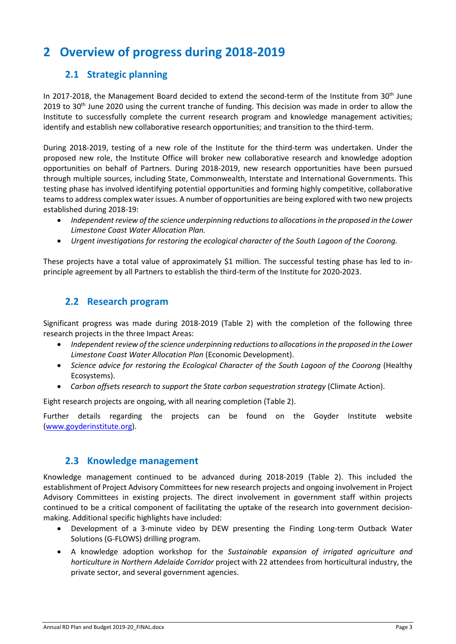## <span id="page-5-1"></span><span id="page-5-0"></span>**2 Overview of progress during 2018-2019**

## **2.1 Strategic planning**

In 2017-2018, the Management Board decided to extend the second-term of the Institute from 30<sup>th</sup> June 2019 to 30<sup>th</sup> June 2020 using the current tranche of funding. This decision was made in order to allow the Institute to successfully complete the current research program and knowledge management activities; identify and establish new collaborative research opportunities; and transition to the third-term.

During 2018-2019, testing of a new role of the Institute for the third-term was undertaken. Under the proposed new role, the Institute Office will broker new collaborative research and knowledge adoption opportunities on behalf of Partners. During 2018-2019, new research opportunities have been pursued through multiple sources, including State, Commonwealth, Interstate and International Governments. This testing phase has involved identifying potential opportunities and forming highly competitive, collaborative teams to address complex water issues. A number of opportunities are being explored with two new projects established during 2018-19:

- *[Independent review of the science underpinning reductions to allocations in the proposed in the Lower](http://www.goyderinstitute.org/projects/view-project/73)  [Limestone Coast Water Allocation Plan.](http://www.goyderinstitute.org/projects/view-project/73)*
- *Urgent investigations for restoring the ecological character of the South Lagoon of the Coorong.*

These projects have a total value of approximately \$1 million. The successful testing phase has led to inprinciple agreement by all Partners to establish the third-term of the Institute for 2020-2023.

### <span id="page-5-2"></span>**2.2 Research program**

Significant progress was made during 2018-2019 (Table 2) with the completion of the following three research projects in the three Impact Areas:

- *[Independent review of the science underpinning reductions to allocations in the proposed in the Lower](http://www.goyderinstitute.org/projects/view-project/73)  [Limestone Coast Water Allocation Plan](http://www.goyderinstitute.org/projects/view-project/73)* (Economic Development).
- *Science advice for restoring the Ecological Character of the South Lagoon of the Coorong* (Healthy Ecosystems).
- *Carbon offsets research to support the State carbon sequestration strategy* (Climate Action).

Eight research projects are ongoing, with all nearing completion (Table 2).

Further details regarding the projects can be found on the Goyder Institute website [\(www.goyderinstitute.org\)](http://www.goyderinstitute.org/).

#### **2.3 Knowledge management**

<span id="page-5-3"></span>Knowledge management continued to be advanced during 2018-2019 (Table 2). This included the establishment of Project Advisory Committees for new research projects and ongoing involvement in Project Advisory Committees in existing projects. The direct involvement in government staff within projects continued to be a critical component of facilitating the uptake of the research into government decisionmaking. Additional specific highlights have included:

- Development of a 3-minute video by DEW presenting the Finding Long-term Outback Water Solutions (G-FLOWS) drilling program.
- A knowledge adoption workshop for the *Sustainable expansion of irrigated agriculture and horticulture in Northern Adelaide Corridor* project with 22 attendees from horticultural industry, the private sector, and several government agencies.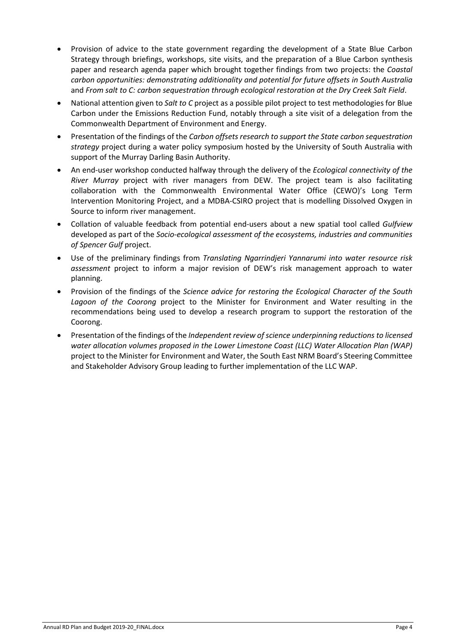- Provision of advice to the state government regarding the development of a State Blue Carbon Strategy through briefings, workshops, site visits, and the preparation of a Blue Carbon synthesis paper and research agenda paper which brought together findings from two projects: the *Coastal carbon opportunities: demonstrating additionality and potential for future offsets in South Australia* and *From salt to C: carbon sequestration through ecological restoration at the Dry Creek Salt Field*.
- National attention given to *Salt to C* project as a possible pilot project to test methodologies for Blue Carbon under the Emissions Reduction Fund, notably through a site visit of a delegation from the Commonwealth Department of Environment and Energy.
- Presentation of the findings of the *Carbon offsets research to support the State carbon sequestration strategy* project during a water policy symposium hosted by the University of South Australia with support of the Murray Darling Basin Authority.
- An end-user workshop conducted halfway through the delivery of the *Ecological connectivity of the River Murray* project with river managers from DEW. The project team is also facilitating collaboration with the Commonwealth Environmental Water Office (CEWO)'s Long Term Intervention Monitoring Project, and a MDBA-CSIRO project that is modelling Dissolved Oxygen in Source to inform river management.
- Collation of valuable feedback from potential end-users about a new spatial tool called *Gulfview* developed as part of the *Socio-ecological assessment of the ecosystems, industries and communities of Spencer Gulf* project.
- Use of the preliminary findings from *Translating Ngarrindjeri Yannarumi into water resource risk assessment* project to inform a major revision of DEW's risk management approach to water planning.
- Provision of the findings of the *Science advice for restoring the Ecological Character of the South Lagoon of the Coorong* project to the Minister for Environment and Water resulting in the recommendations being used to develop a research program to support the restoration of the Coorong.
- Presentation of the findings of the *Independent review of science underpinning reductions to licensed water allocation volumes proposed in the Lower Limestone Coast (LLC) Water Allocation Plan (WAP)*  project to the Minister for Environment and Water, the South East NRM Board's Steering Committee and Stakeholder Advisory Group leading to further implementation of the LLC WAP.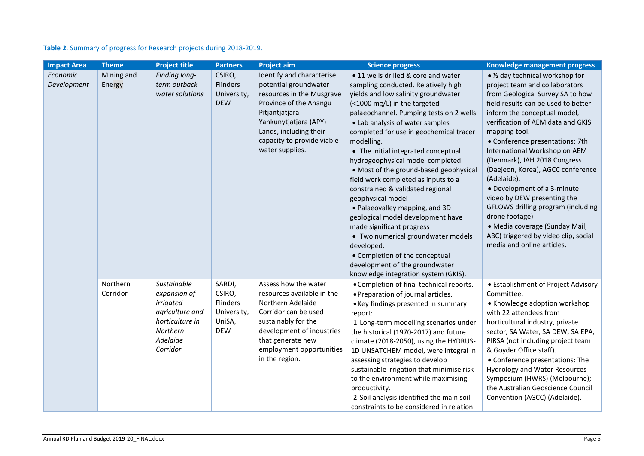| Table 2. Summary of progress for Research projects during 2018-2019. |  |  |
|----------------------------------------------------------------------|--|--|
|----------------------------------------------------------------------|--|--|

| <b>Impact Area</b>             | <b>Theme</b>         | <b>Project title</b>                                                                                               | <b>Partners</b>                                                            | <b>Project aim</b>                                                                                                                                                                                                              | <b>Science progress</b>                                                                                                                                                                                                                                                                                                                                                                                                                                                                                                                                                                                                                                                                                                                                                             | <b>Knowledge management progress</b>                                                                                                                                                                                                                                                                                                                                                                                                                                                                                                                                                                                      |
|--------------------------------|----------------------|--------------------------------------------------------------------------------------------------------------------|----------------------------------------------------------------------------|---------------------------------------------------------------------------------------------------------------------------------------------------------------------------------------------------------------------------------|-------------------------------------------------------------------------------------------------------------------------------------------------------------------------------------------------------------------------------------------------------------------------------------------------------------------------------------------------------------------------------------------------------------------------------------------------------------------------------------------------------------------------------------------------------------------------------------------------------------------------------------------------------------------------------------------------------------------------------------------------------------------------------------|---------------------------------------------------------------------------------------------------------------------------------------------------------------------------------------------------------------------------------------------------------------------------------------------------------------------------------------------------------------------------------------------------------------------------------------------------------------------------------------------------------------------------------------------------------------------------------------------------------------------------|
| <b>Economic</b><br>Development | Mining and<br>Energy | Finding long-<br>term outback<br>water solutions                                                                   | CSIRO,<br>Flinders<br>University,<br><b>DEW</b>                            | Identify and characterise<br>potential groundwater<br>resources in the Musgrave<br>Province of the Anangu<br>Pitjantjatjara<br>Yankunytjatjara (APY)<br>Lands, including their<br>capacity to provide viable<br>water supplies. | • 11 wells drilled & core and water<br>sampling conducted. Relatively high<br>yields and low salinity groundwater<br>(<1000 mg/L) in the targeted<br>palaeochannel. Pumping tests on 2 wells.<br>• Lab analysis of water samples<br>completed for use in geochemical tracer<br>modelling.<br>• The initial integrated conceptual<br>hydrogeophysical model completed.<br>• Most of the ground-based geophysical<br>field work completed as inputs to a<br>constrained & validated regional<br>geophysical model<br>• Palaeovalley mapping, and 3D<br>geological model development have<br>made significant progress<br>• Two numerical groundwater models<br>developed.<br>• Completion of the conceptual<br>development of the groundwater<br>knowledge integration system (GKIS). | • 1/2 day technical workshop for<br>project team and collaborators<br>from Geological Survey SA to how<br>field results can be used to better<br>inform the conceptual model,<br>verification of AEM data and GKIS<br>mapping tool.<br>• Conference presentations: 7th<br>International Workshop on AEM<br>(Denmark), IAH 2018 Congress<br>(Daejeon, Korea), AGCC conference<br>(Adelaide).<br>• Development of a 3-minute<br>video by DEW presenting the<br>GFLOWS drilling program (including<br>drone footage)<br>· Media coverage (Sunday Mail,<br>ABC) triggered by video clip, social<br>media and online articles. |
|                                | Northern<br>Corridor | Sustainable<br>expansion of<br>irrigated<br>agriculture and<br>horticulture in<br>Northern<br>Adelaide<br>Corridor | SARDI,<br>CSIRO,<br><b>Flinders</b><br>University,<br>UniSA,<br><b>DEW</b> | Assess how the water<br>resources available in the<br>Northern Adelaide<br>Corridor can be used<br>sustainably for the<br>development of industries<br>that generate new<br>employment opportunities<br>in the region.          | • Completion of final technical reports.<br>• Preparation of journal articles.<br>• Key findings presented in summary<br>report:<br>1. Long-term modelling scenarios under<br>the historical (1970-2017) and future<br>climate (2018-2050), using the HYDRUS-<br>1D UNSATCHEM model, were integral in<br>assessing strategies to develop<br>sustainable irrigation that minimise risk<br>to the environment while maximising<br>productivity.<br>2. Soil analysis identified the main soil<br>constraints to be considered in relation                                                                                                                                                                                                                                              | • Establishment of Project Advisory<br>Committee.<br>• Knowledge adoption workshop<br>with 22 attendees from<br>horticultural industry, private<br>sector, SA Water, SA DEW, SA EPA,<br>PIRSA (not including project team<br>& Goyder Office staff).<br>• Conference presentations: The<br>Hydrology and Water Resources<br>Symposium (HWRS) (Melbourne);<br>the Australian Geoscience Council<br>Convention (AGCC) (Adelaide).                                                                                                                                                                                           |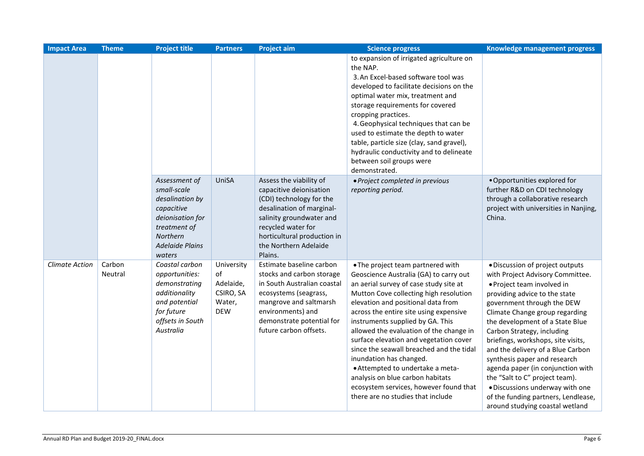| <b>Impact Area</b>    | <b>Theme</b>      | <b>Project title</b>                                                                                                                              | <b>Partners</b>                                                    | <b>Project aim</b>                                                                                                                                                                                                               | <b>Science progress</b>                                                                                                                                                                                                                                                                                                                                                                                                                                                                                                                                                                                | Knowledge management progress                                                                                                                                                                                                                                                                                                                                                                                                                                                                                                                                      |
|-----------------------|-------------------|---------------------------------------------------------------------------------------------------------------------------------------------------|--------------------------------------------------------------------|----------------------------------------------------------------------------------------------------------------------------------------------------------------------------------------------------------------------------------|--------------------------------------------------------------------------------------------------------------------------------------------------------------------------------------------------------------------------------------------------------------------------------------------------------------------------------------------------------------------------------------------------------------------------------------------------------------------------------------------------------------------------------------------------------------------------------------------------------|--------------------------------------------------------------------------------------------------------------------------------------------------------------------------------------------------------------------------------------------------------------------------------------------------------------------------------------------------------------------------------------------------------------------------------------------------------------------------------------------------------------------------------------------------------------------|
|                       |                   |                                                                                                                                                   |                                                                    |                                                                                                                                                                                                                                  | to expansion of irrigated agriculture on<br>the NAP.<br>3. An Excel-based software tool was<br>developed to facilitate decisions on the<br>optimal water mix, treatment and<br>storage requirements for covered<br>cropping practices.<br>4. Geophysical techniques that can be<br>used to estimate the depth to water<br>table, particle size (clay, sand gravel),<br>hydraulic conductivity and to delineate<br>between soil groups were<br>demonstrated.                                                                                                                                            |                                                                                                                                                                                                                                                                                                                                                                                                                                                                                                                                                                    |
|                       |                   | Assessment of<br>small-scale<br>desalination by<br>capacitive<br>deionisation for<br>treatment of<br>Northern<br><b>Adelaide Plains</b><br>waters | UniSA                                                              | Assess the viability of<br>capacitive deionisation<br>(CDI) technology for the<br>desalination of marginal-<br>salinity groundwater and<br>recycled water for<br>horticultural production in<br>the Northern Adelaide<br>Plains. | · Project completed in previous<br>reporting period.                                                                                                                                                                                                                                                                                                                                                                                                                                                                                                                                                   | . Opportunities explored for<br>further R&D on CDI technology<br>through a collaborative research<br>project with universities in Nanjing,<br>China.                                                                                                                                                                                                                                                                                                                                                                                                               |
| <b>Climate Action</b> | Carbon<br>Neutral | Coastal carbon<br>opportunities:<br>demonstrating<br>additionality<br>and potential<br>for future<br>offsets in South<br>Australia                | University<br>of<br>Adelaide,<br>CSIRO, SA<br>Water,<br><b>DEW</b> | Estimate baseline carbon<br>stocks and carbon storage<br>in South Australian coastal<br>ecosystems (seagrass,<br>mangrove and saltmarsh<br>environments) and<br>demonstrate potential for<br>future carbon offsets.              | • The project team partnered with<br>Geoscience Australia (GA) to carry out<br>an aerial survey of case study site at<br>Mutton Cove collecting high resolution<br>elevation and positional data from<br>across the entire site using expensive<br>instruments supplied by GA. This<br>allowed the evaluation of the change in<br>surface elevation and vegetation cover<br>since the seawall breached and the tidal<br>inundation has changed.<br>• Attempted to undertake a meta-<br>analysis on blue carbon habitats<br>ecosystem services, however found that<br>there are no studies that include | · Discussion of project outputs<br>with Project Advisory Committee.<br>· Project team involved in<br>providing advice to the state<br>government through the DEW<br>Climate Change group regarding<br>the development of a State Blue<br>Carbon Strategy, including<br>briefings, workshops, site visits,<br>and the delivery of a Blue Carbon<br>synthesis paper and research<br>agenda paper (in conjunction with<br>the "Salt to C" project team).<br>· Discussions underway with one<br>of the funding partners, Lendlease,<br>around studying coastal wetland |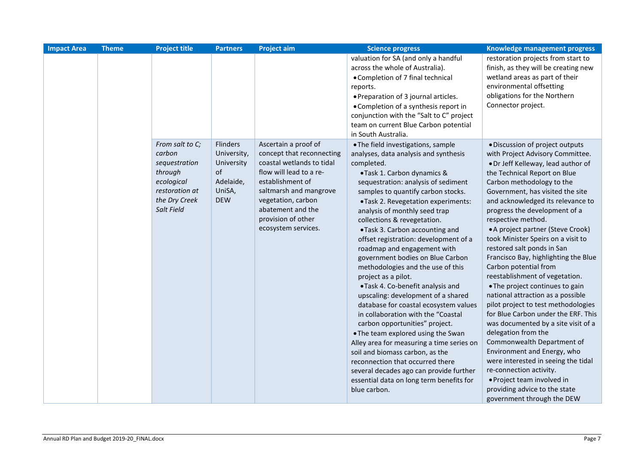| <b>Impact Area</b> | <b>Theme</b> | <b>Project title</b>                                                                                                 | <b>Partners</b>                                                                  | <b>Project aim</b>                                                                                                                                                                                                                              | <b>Science progress</b>                                                                                                                                                                                                                                                                                                                                                                                                                                                                                                                                                                                                                                                                                                                                                                                                                                                                                                                                                          | Knowledge management progress                                                                                                                                                                                                                                                                                                                                                                                                                                                                                                                                                                                                                                                                                                                                                                                                                                                                                                                                      |
|--------------------|--------------|----------------------------------------------------------------------------------------------------------------------|----------------------------------------------------------------------------------|-------------------------------------------------------------------------------------------------------------------------------------------------------------------------------------------------------------------------------------------------|----------------------------------------------------------------------------------------------------------------------------------------------------------------------------------------------------------------------------------------------------------------------------------------------------------------------------------------------------------------------------------------------------------------------------------------------------------------------------------------------------------------------------------------------------------------------------------------------------------------------------------------------------------------------------------------------------------------------------------------------------------------------------------------------------------------------------------------------------------------------------------------------------------------------------------------------------------------------------------|--------------------------------------------------------------------------------------------------------------------------------------------------------------------------------------------------------------------------------------------------------------------------------------------------------------------------------------------------------------------------------------------------------------------------------------------------------------------------------------------------------------------------------------------------------------------------------------------------------------------------------------------------------------------------------------------------------------------------------------------------------------------------------------------------------------------------------------------------------------------------------------------------------------------------------------------------------------------|
|                    |              |                                                                                                                      |                                                                                  |                                                                                                                                                                                                                                                 | valuation for SA (and only a handful<br>across the whole of Australia).<br>• Completion of 7 final technical<br>reports.<br>• Preparation of 3 journal articles.<br>• Completion of a synthesis report in<br>conjunction with the "Salt to C" project<br>team on current Blue Carbon potential<br>in South Australia.                                                                                                                                                                                                                                                                                                                                                                                                                                                                                                                                                                                                                                                            | restoration projects from start to<br>finish, as they will be creating new<br>wetland areas as part of their<br>environmental offsetting<br>obligations for the Northern<br>Connector project.                                                                                                                                                                                                                                                                                                                                                                                                                                                                                                                                                                                                                                                                                                                                                                     |
|                    |              | From salt to C;<br>carbon<br>sequestration<br>through<br>ecological<br>restoration at<br>the Dry Creek<br>Salt Field | Flinders<br>University,<br>University<br>of<br>Adelaide,<br>UniSA,<br><b>DEW</b> | Ascertain a proof of<br>concept that reconnecting<br>coastal wetlands to tidal<br>flow will lead to a re-<br>establishment of<br>saltmarsh and mangrove<br>vegetation, carbon<br>abatement and the<br>provision of other<br>ecosystem services. | . The field investigations, sample<br>analyses, data analysis and synthesis<br>completed.<br>•Task 1. Carbon dynamics &<br>sequestration: analysis of sediment<br>samples to quantify carbon stocks.<br>•Task 2. Revegetation experiments:<br>analysis of monthly seed trap<br>collections & revegetation.<br>.Task 3. Carbon accounting and<br>offset registration: development of a<br>roadmap and engagement with<br>government bodies on Blue Carbon<br>methodologies and the use of this<br>project as a pilot.<br>.Task 4. Co-benefit analysis and<br>upscaling: development of a shared<br>database for coastal ecosystem values<br>in collaboration with the "Coastal<br>carbon opportunities" project.<br>. The team explored using the Swan<br>Alley area for measuring a time series on<br>soil and biomass carbon, as the<br>reconnection that occurred there<br>several decades ago can provide further<br>essential data on long term benefits for<br>blue carbon. | · Discussion of project outputs<br>with Project Advisory Committee.<br>• Dr Jeff Kelleway, lead author of<br>the Technical Report on Blue<br>Carbon methodology to the<br>Government, has visited the site<br>and acknowledged its relevance to<br>progress the development of a<br>respective method.<br>• A project partner (Steve Crook)<br>took Minister Speirs on a visit to<br>restored salt ponds in San<br>Francisco Bay, highlighting the Blue<br>Carbon potential from<br>reestablishment of vegetation.<br>• The project continues to gain<br>national attraction as a possible<br>pilot project to test methodologies<br>for Blue Carbon under the ERF. This<br>was documented by a site visit of a<br>delegation from the<br>Commonwealth Department of<br>Environment and Energy, who<br>were interested in seeing the tidal<br>re-connection activity.<br>• Project team involved in<br>providing advice to the state<br>government through the DEW |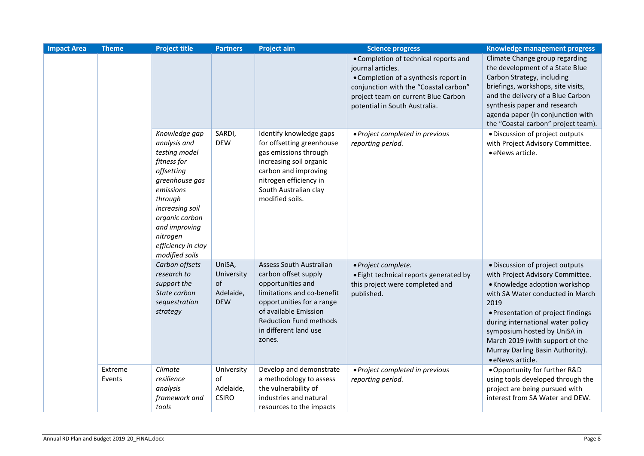| <b>Impact Area</b> | <b>Theme</b>      | <b>Project title</b>                                                                                                                                                                                                            | <b>Partners</b>                                       | <b>Project aim</b>                                                                                                                                                                                                                  | <b>Science progress</b>                                                                                                                                                                                              | Knowledge management progress                                                                                                                                                                                                                                                                                                                          |
|--------------------|-------------------|---------------------------------------------------------------------------------------------------------------------------------------------------------------------------------------------------------------------------------|-------------------------------------------------------|-------------------------------------------------------------------------------------------------------------------------------------------------------------------------------------------------------------------------------------|----------------------------------------------------------------------------------------------------------------------------------------------------------------------------------------------------------------------|--------------------------------------------------------------------------------------------------------------------------------------------------------------------------------------------------------------------------------------------------------------------------------------------------------------------------------------------------------|
|                    |                   |                                                                                                                                                                                                                                 |                                                       |                                                                                                                                                                                                                                     | • Completion of technical reports and<br>journal articles.<br>• Completion of a synthesis report in<br>conjunction with the "Coastal carbon"<br>project team on current Blue Carbon<br>potential in South Australia. | Climate Change group regarding<br>the development of a State Blue<br>Carbon Strategy, including<br>briefings, workshops, site visits,<br>and the delivery of a Blue Carbon<br>synthesis paper and research<br>agenda paper (in conjunction with<br>the "Coastal carbon" project team).                                                                 |
|                    |                   | Knowledge gap<br>analysis and<br>testing model<br>fitness for<br>offsetting<br>greenhouse gas<br>emissions<br>through<br>increasing soil<br>organic carbon<br>and improving<br>nitrogen<br>efficiency in clay<br>modified soils | SARDI,<br><b>DEW</b>                                  | Identify knowledge gaps<br>for offsetting greenhouse<br>gas emissions through<br>increasing soil organic<br>carbon and improving<br>nitrogen efficiency in<br>South Australian clay<br>modified soils.                              | · Project completed in previous<br>reporting period.                                                                                                                                                                 | · Discussion of project outputs<br>with Project Advisory Committee.<br>· eNews article.                                                                                                                                                                                                                                                                |
|                    |                   | Carbon offsets<br>research to<br>support the<br>State carbon<br>sequestration<br>strategy                                                                                                                                       | UniSA,<br>University<br>of<br>Adelaide,<br><b>DEW</b> | <b>Assess South Australian</b><br>carbon offset supply<br>opportunities and<br>limitations and co-benefit<br>opportunities for a range<br>of available Emission<br><b>Reduction Fund methods</b><br>in different land use<br>zones. | · Project complete.<br>• Eight technical reports generated by<br>this project were completed and<br>published.                                                                                                       | · Discussion of project outputs<br>with Project Advisory Committee.<br>• Knowledge adoption workshop<br>with SA Water conducted in March<br>2019<br>• Presentation of project findings<br>during international water policy<br>symposium hosted by UniSA in<br>March 2019 (with support of the<br>Murray Darling Basin Authority).<br>· eNews article. |
|                    | Extreme<br>Events | Climate<br>resilience<br>analysis<br>framework and<br>tools                                                                                                                                                                     | University<br>of<br>Adelaide,<br><b>CSIRO</b>         | Develop and demonstrate<br>a methodology to assess<br>the vulnerability of<br>industries and natural<br>resources to the impacts                                                                                                    | · Project completed in previous<br>reporting period.                                                                                                                                                                 | . Opportunity for further R&D<br>using tools developed through the<br>project are being pursued with<br>interest from SA Water and DEW.                                                                                                                                                                                                                |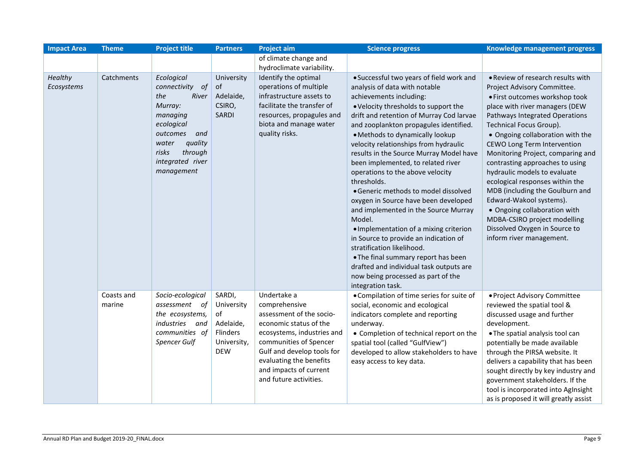| <b>Impact Area</b>    | <b>Theme</b>         | <b>Project title</b>                                                                                                                                                               | <b>Partners</b>                                                                  | <b>Project aim</b>                                                                                                                                                                                                                                      | <b>Science progress</b>                                                                                                                                                                                                                                                                                                                                                                                                                                                                                                                                                                                                                                                                                                                                                                                                                            | Knowledge management progress                                                                                                                                                                                                                                                                                                                                                                                                                                                                                                                                                                                     |
|-----------------------|----------------------|------------------------------------------------------------------------------------------------------------------------------------------------------------------------------------|----------------------------------------------------------------------------------|---------------------------------------------------------------------------------------------------------------------------------------------------------------------------------------------------------------------------------------------------------|----------------------------------------------------------------------------------------------------------------------------------------------------------------------------------------------------------------------------------------------------------------------------------------------------------------------------------------------------------------------------------------------------------------------------------------------------------------------------------------------------------------------------------------------------------------------------------------------------------------------------------------------------------------------------------------------------------------------------------------------------------------------------------------------------------------------------------------------------|-------------------------------------------------------------------------------------------------------------------------------------------------------------------------------------------------------------------------------------------------------------------------------------------------------------------------------------------------------------------------------------------------------------------------------------------------------------------------------------------------------------------------------------------------------------------------------------------------------------------|
|                       |                      |                                                                                                                                                                                    |                                                                                  | of climate change and                                                                                                                                                                                                                                   |                                                                                                                                                                                                                                                                                                                                                                                                                                                                                                                                                                                                                                                                                                                                                                                                                                                    |                                                                                                                                                                                                                                                                                                                                                                                                                                                                                                                                                                                                                   |
|                       |                      |                                                                                                                                                                                    |                                                                                  | hydroclimate variability.                                                                                                                                                                                                                               |                                                                                                                                                                                                                                                                                                                                                                                                                                                                                                                                                                                                                                                                                                                                                                                                                                                    |                                                                                                                                                                                                                                                                                                                                                                                                                                                                                                                                                                                                                   |
| Healthy<br>Ecosystems | Catchments           | Ecological<br>of<br>connectivity<br>the<br>River<br>Murray:<br>managing<br>ecological<br>outcomes<br>and<br>quality<br>water<br>risks<br>through<br>integrated river<br>management | University<br>of<br>Adelaide,<br>CSIRO,<br><b>SARDI</b>                          | Identify the optimal<br>operations of multiple<br>infrastructure assets to<br>facilitate the transfer of<br>resources, propagules and<br>biota and manage water<br>quality risks.                                                                       | • Successful two years of field work and<br>analysis of data with notable<br>achievements including:<br>. Velocity thresholds to support the<br>drift and retention of Murray Cod larvae<br>and zooplankton propagules identified.<br>• Methods to dynamically lookup<br>velocity relationships from hydraulic<br>results in the Source Murray Model have<br>been implemented, to related river<br>operations to the above velocity<br>thresholds.<br>· Generic methods to model dissolved<br>oxygen in Source have been developed<br>and implemented in the Source Murray<br>Model.<br>· Implementation of a mixing criterion<br>in Source to provide an indication of<br>stratification likelihood.<br>• The final summary report has been<br>drafted and individual task outputs are<br>now being processed as part of the<br>integration task. | . Review of research results with<br>Project Advisory Committee.<br>· First outcomes workshop took<br>place with river managers (DEW<br>Pathways Integrated Operations<br>Technical Focus Group).<br>• Ongoing collaboration with the<br><b>CEWO Long Term Intervention</b><br>Monitoring Project, comparing and<br>contrasting approaches to using<br>hydraulic models to evaluate<br>ecological responses within the<br>MDB (including the Goulburn and<br>Edward-Wakool systems).<br>• Ongoing collaboration with<br>MDBA-CSIRO project modelling<br>Dissolved Oxygen in Source to<br>inform river management. |
|                       | Coasts and<br>marine | Socio-ecological<br>assessment<br>οf<br>the ecosystems,<br>industries<br>and<br>communities of<br>Spencer Gulf                                                                     | SARDI,<br>University<br>of<br>Adelaide,<br>Flinders<br>University,<br><b>DEW</b> | Undertake a<br>comprehensive<br>assessment of the socio-<br>economic status of the<br>ecosystems, industries and<br>communities of Spencer<br>Gulf and develop tools for<br>evaluating the benefits<br>and impacts of current<br>and future activities. | • Compilation of time series for suite of<br>social, economic and ecological<br>indicators complete and reporting<br>underway.<br>• Completion of technical report on the<br>spatial tool (called "GulfView")<br>developed to allow stakeholders to have<br>easy access to key data.                                                                                                                                                                                                                                                                                                                                                                                                                                                                                                                                                               | · Project Advisory Committee<br>reviewed the spatial tool &<br>discussed usage and further<br>development.<br>. The spatial analysis tool can<br>potentially be made available<br>through the PIRSA website. It<br>delivers a capability that has been<br>sought directly by key industry and<br>government stakeholders. If the<br>tool is incorporated into AgInsight<br>as is proposed it will greatly assist                                                                                                                                                                                                  |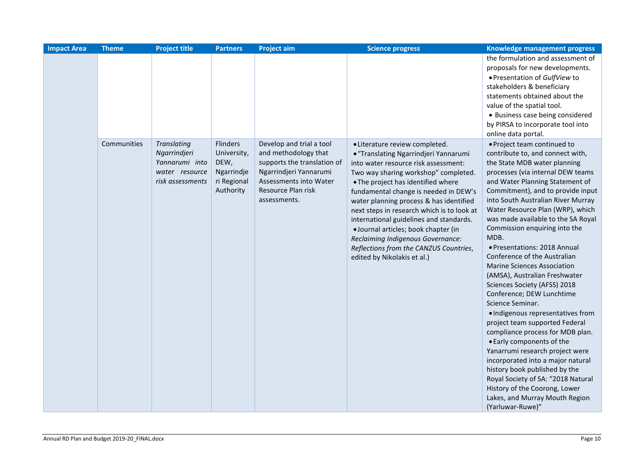| <b>Impact Area</b> | <b>Theme</b> | <b>Project title</b>                                                                       | <b>Partners</b>                                                           | <b>Project aim</b>                                                                                                                                                        | <b>Science progress</b>                                                                                                                                                                                                                                                                                                                                                                                                                                                                                                          | Knowledge management progress                                                                                                                                                                                                                                                                                                                                                                                                                                                                                                                                                                                                                                                                                                                                                                                                                                                                                                                                               |
|--------------------|--------------|--------------------------------------------------------------------------------------------|---------------------------------------------------------------------------|---------------------------------------------------------------------------------------------------------------------------------------------------------------------------|----------------------------------------------------------------------------------------------------------------------------------------------------------------------------------------------------------------------------------------------------------------------------------------------------------------------------------------------------------------------------------------------------------------------------------------------------------------------------------------------------------------------------------|-----------------------------------------------------------------------------------------------------------------------------------------------------------------------------------------------------------------------------------------------------------------------------------------------------------------------------------------------------------------------------------------------------------------------------------------------------------------------------------------------------------------------------------------------------------------------------------------------------------------------------------------------------------------------------------------------------------------------------------------------------------------------------------------------------------------------------------------------------------------------------------------------------------------------------------------------------------------------------|
|                    |              |                                                                                            |                                                                           |                                                                                                                                                                           |                                                                                                                                                                                                                                                                                                                                                                                                                                                                                                                                  | the formulation and assessment of<br>proposals for new developments.<br>• Presentation of GulfView to<br>stakeholders & beneficiary<br>statements obtained about the<br>value of the spatial tool.<br>• Business case being considered<br>by PIRSA to incorporate tool into<br>online data portal.                                                                                                                                                                                                                                                                                                                                                                                                                                                                                                                                                                                                                                                                          |
|                    | Communities  | <b>Translating</b><br>Ngarrindjeri<br>Yannarumi into<br>water resource<br>risk assessments | Flinders<br>University,<br>DEW,<br>Ngarrindje<br>ri Regional<br>Authority | Develop and trial a tool<br>and methodology that<br>supports the translation of<br>Ngarrindjeri Yannarumi<br>Assessments into Water<br>Resource Plan risk<br>assessments. | • Literature review completed.<br>• "Translating Ngarrindjeri Yannarumi<br>into water resource risk assessment:<br>Two way sharing workshop" completed.<br>• The project has identified where<br>fundamental change is needed in DEW's<br>water planning process & has identified<br>next steps in research which is to look at<br>international guidelines and standards.<br>· Journal articles; book chapter (in<br>Reclaiming Indigenous Governance:<br>Reflections from the CANZUS Countries,<br>edited by Nikolakis et al.) | · Project team continued to<br>contribute to, and connect with,<br>the State MDB water planning<br>processes (via internal DEW teams<br>and Water Planning Statement of<br>Commitment), and to provide input<br>into South Australian River Murray<br>Water Resource Plan (WRP), which<br>was made available to the SA Royal<br>Commission enquiring into the<br>MDB.<br>• Presentations: 2018 Annual<br>Conference of the Australian<br><b>Marine Sciences Association</b><br>(AMSA), Australian Freshwater<br>Sciences Society (AFSS) 2018<br>Conference; DEW Lunchtime<br>Science Seminar.<br>· Indigenous representatives from<br>project team supported Federal<br>compliance process for MDB plan.<br>• Early components of the<br>Yanarrumi research project were<br>incorporated into a major natural<br>history book published by the<br>Royal Society of SA: "2018 Natural<br>History of the Coorong, Lower<br>Lakes, and Murray Mouth Region<br>(Yarluwar-Ruwe)" |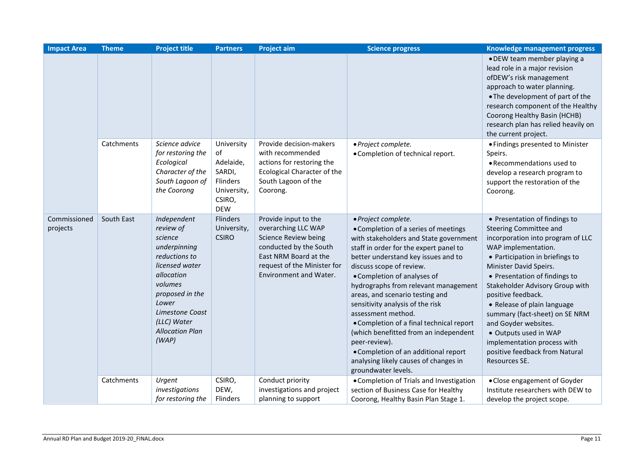| <b>Impact Area</b>       | <b>Theme</b> | <b>Project title</b>                                                                                                                                                                                             | <b>Partners</b>                                                                            | <b>Project aim</b>                                                                                                                                                              | <b>Science progress</b>                                                                                                                                                                                                                                                                                                                                                                                                                                                                                                                                                                              | Knowledge management progress                                                                                                                                                                                                                                                                                                                                                                                                                                                  |
|--------------------------|--------------|------------------------------------------------------------------------------------------------------------------------------------------------------------------------------------------------------------------|--------------------------------------------------------------------------------------------|---------------------------------------------------------------------------------------------------------------------------------------------------------------------------------|------------------------------------------------------------------------------------------------------------------------------------------------------------------------------------------------------------------------------------------------------------------------------------------------------------------------------------------------------------------------------------------------------------------------------------------------------------------------------------------------------------------------------------------------------------------------------------------------------|--------------------------------------------------------------------------------------------------------------------------------------------------------------------------------------------------------------------------------------------------------------------------------------------------------------------------------------------------------------------------------------------------------------------------------------------------------------------------------|
|                          |              |                                                                                                                                                                                                                  |                                                                                            |                                                                                                                                                                                 |                                                                                                                                                                                                                                                                                                                                                                                                                                                                                                                                                                                                      | • DEW team member playing a<br>lead role in a major revision<br>ofDEW's risk management<br>approach to water planning.<br>• The development of part of the<br>research component of the Healthy<br>Coorong Healthy Basin (HCHB)<br>research plan has relied heavily on<br>the current project.                                                                                                                                                                                 |
|                          | Catchments   | Science advice<br>for restoring the<br>Ecological<br>Character of the<br>South Lagoon of<br>the Coorong                                                                                                          | University<br>of<br>Adelaide,<br>SARDI,<br>Flinders<br>University,<br>CSIRO,<br><b>DEW</b> | Provide decision-makers<br>with recommended<br>actions for restoring the<br>Ecological Character of the<br>South Lagoon of the<br>Coorong.                                      | · Project complete.<br>• Completion of technical report.                                                                                                                                                                                                                                                                                                                                                                                                                                                                                                                                             | • Findings presented to Minister<br>Speirs.<br>• Recommendations used to<br>develop a research program to<br>support the restoration of the<br>Coorong.                                                                                                                                                                                                                                                                                                                        |
| Commissioned<br>projects | South East   | Independent<br>review of<br>science<br>underpinning<br>reductions to<br>licensed water<br>allocation<br>volumes<br>proposed in the<br>Lower<br>Limestone Coast<br>(LLC) Water<br><b>Allocation Plan</b><br>(WAP) | Flinders<br>University,<br><b>CSIRO</b>                                                    | Provide input to the<br>overarching LLC WAP<br>Science Review being<br>conducted by the South<br>East NRM Board at the<br>request of the Minister for<br>Environment and Water. | · Project complete.<br>• Completion of a series of meetings<br>with stakeholders and State government<br>staff in order for the expert panel to<br>better understand key issues and to<br>discuss scope of review.<br>• Completion of analyses of<br>hydrographs from relevant management<br>areas, and scenario testing and<br>sensitivity analysis of the risk<br>assessment method.<br>• Completion of a final technical report<br>(which benefitted from an independent<br>peer-review).<br>• Completion of an additional report<br>analysing likely causes of changes in<br>groundwater levels. | • Presentation of findings to<br>Steering Committee and<br>incorporation into program of LLC<br>WAP implementation.<br>• Participation in briefings to<br>Minister David Speirs.<br>• Presentation of findings to<br>Stakeholder Advisory Group with<br>positive feedback.<br>• Release of plain language<br>summary (fact-sheet) on SE NRM<br>and Goyder websites.<br>· Outputs used in WAP<br>implementation process with<br>positive feedback from Natural<br>Resources SE. |
|                          | Catchments   | Urgent<br>investigations<br>for restoring the                                                                                                                                                                    | CSIRO,<br>DEW,<br>Flinders                                                                 | Conduct priority<br>investigations and project<br>planning to support                                                                                                           | • Completion of Trials and Investigation<br>section of Business Case for Healthy<br>Coorong, Healthy Basin Plan Stage 1.                                                                                                                                                                                                                                                                                                                                                                                                                                                                             | • Close engagement of Goyder<br>Institute researchers with DEW to<br>develop the project scope.                                                                                                                                                                                                                                                                                                                                                                                |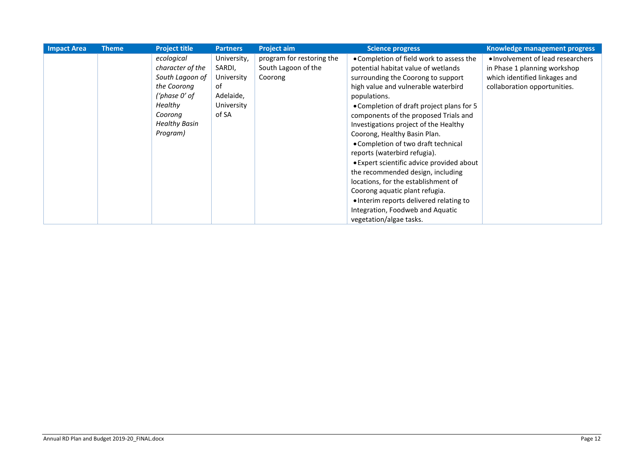| <b>Impact Area</b> | <b>Theme</b> | <b>Project title</b> | <b>Partners</b> | <b>Project aim</b>        | <b>Science progress</b>                   | <b>Knowledge management progress</b> |
|--------------------|--------------|----------------------|-----------------|---------------------------|-------------------------------------------|--------------------------------------|
|                    |              | ecological           | University,     | program for restoring the | • Completion of field work to assess the  | • Involvement of lead researchers    |
|                    |              | character of the     | SARDI,          | South Lagoon of the       | potential habitat value of wetlands       | in Phase 1 planning workshop         |
|                    |              | South Lagoon of      | University      | Coorong                   | surrounding the Coorong to support        | which identified linkages and        |
|                    |              | the Coorong          | of              |                           | high value and vulnerable waterbird       | collaboration opportunities.         |
|                    |              | ('phase 0' of        | Adelaide,       |                           | populations.                              |                                      |
|                    |              | <b>Healthy</b>       | University      |                           | • Completion of draft project plans for 5 |                                      |
|                    |              | Coorona              | of SA           |                           | components of the proposed Trials and     |                                      |
|                    |              | <b>Healthy Basin</b> |                 |                           | Investigations project of the Healthy     |                                      |
|                    |              | Program)             |                 |                           | Coorong, Healthy Basin Plan.              |                                      |
|                    |              |                      |                 |                           | • Completion of two draft technical       |                                      |
|                    |              |                      |                 |                           | reports (waterbird refugia).              |                                      |
|                    |              |                      |                 |                           | • Expert scientific advice provided about |                                      |
|                    |              |                      |                 |                           | the recommended design, including         |                                      |
|                    |              |                      |                 |                           | locations, for the establishment of       |                                      |
|                    |              |                      |                 |                           | Coorong aquatic plant refugia.            |                                      |
|                    |              |                      |                 |                           | • Interim reports delivered relating to   |                                      |
|                    |              |                      |                 |                           | Integration, Foodweb and Aquatic          |                                      |
|                    |              |                      |                 |                           | vegetation/algae tasks.                   |                                      |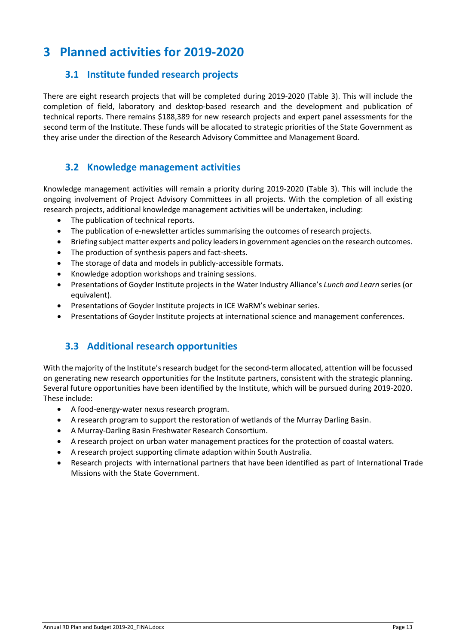## <span id="page-15-1"></span><span id="page-15-0"></span>**3 Planned activities for 2019-2020**

### **3.1 Institute funded research projects**

There are eight research projects that will be completed during 2019-2020 (Table 3). This will include the completion of field, laboratory and desktop-based research and the development and publication of technical reports. There remains \$188,389 for new research projects and expert panel assessments for the second term of the Institute. These funds will be allocated to strategic priorities of the State Government as they arise under the direction of the Research Advisory Committee and Management Board.

### <span id="page-15-2"></span>**3.2 Knowledge management activities**

Knowledge management activities will remain a priority during 2019-2020 (Table 3). This will include the ongoing involvement of Project Advisory Committees in all projects. With the completion of all existing research projects, additional knowledge management activities will be undertaken, including:

- The publication of technical reports.
- The publication of e-newsletter articles summarising the outcomes of research projects.
- Briefing subject matter experts and policy leaders in government agencies on the research outcomes.
- The production of synthesis papers and fact-sheets.
- The storage of data and models in publicly-accessible formats.
- Knowledge adoption workshops and training sessions.
- Presentations of Goyder Institute projects in the Water Industry Alliance's *Lunch and Learn* series (or equivalent).
- Presentations of Goyder Institute projects in ICE WaRM's webinar series.
- Presentations of Goyder Institute projects at international science and management conferences.

### <span id="page-15-3"></span>**3.3 Additional research opportunities**

With the majority of the Institute's research budget for the second-term allocated, attention will be focussed on generating new research opportunities for the Institute partners, consistent with the strategic planning. Several future opportunities have been identified by the Institute, which will be pursued during 2019-2020. These include:

- A food-energy-water nexus research program.
- A research program to support the restoration of wetlands of the Murray Darling Basin.
- A Murray-Darling Basin Freshwater Research Consortium.
- A research project on urban water management practices for the protection of coastal waters.
- A research project supporting climate adaption within South Australia.
- Research projects with international partners that have been identified as part of International Trade Missions with the State Government.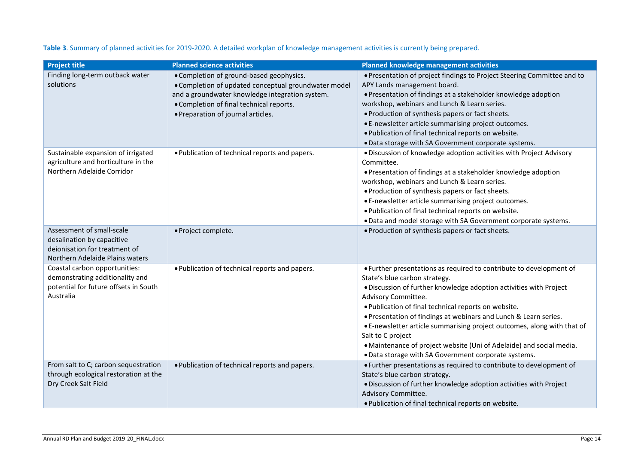| <b>Project title</b>                                                      | <b>Planned science activities</b>                                                                | <b>Planned knowledge management activities</b>                                                         |
|---------------------------------------------------------------------------|--------------------------------------------------------------------------------------------------|--------------------------------------------------------------------------------------------------------|
| Finding long-term outback water<br>solutions                              | • Completion of ground-based geophysics.<br>• Completion of updated conceptual groundwater model | • Presentation of project findings to Project Steering Committee and to<br>APY Lands management board. |
|                                                                           | and a groundwater knowledge integration system.                                                  | • Presentation of findings at a stakeholder knowledge adoption                                         |
|                                                                           | • Completion of final technical reports.                                                         | workshop, webinars and Lunch & Learn series.                                                           |
|                                                                           | • Preparation of journal articles.                                                               | • Production of synthesis papers or fact sheets.                                                       |
|                                                                           |                                                                                                  | • E-newsletter article summarising project outcomes.                                                   |
|                                                                           |                                                                                                  | . Publication of final technical reports on website.                                                   |
|                                                                           |                                                                                                  | . Data storage with SA Government corporate systems.                                                   |
| Sustainable expansion of irrigated<br>agriculture and horticulture in the | . Publication of technical reports and papers.                                                   | . Discussion of knowledge adoption activities with Project Advisory<br>Committee.                      |
| Northern Adelaide Corridor                                                |                                                                                                  | • Presentation of findings at a stakeholder knowledge adoption                                         |
|                                                                           |                                                                                                  | workshop, webinars and Lunch & Learn series.                                                           |
|                                                                           |                                                                                                  | • Production of synthesis papers or fact sheets.                                                       |
|                                                                           |                                                                                                  | • E-newsletter article summarising project outcomes.                                                   |
|                                                                           |                                                                                                  | . Publication of final technical reports on website.                                                   |
|                                                                           |                                                                                                  | . Data and model storage with SA Government corporate systems.                                         |
| Assessment of small-scale                                                 | · Project complete.                                                                              | • Production of synthesis papers or fact sheets.                                                       |
| desalination by capacitive                                                |                                                                                                  |                                                                                                        |
| deionisation for treatment of                                             |                                                                                                  |                                                                                                        |
| Northern Adelaide Plains waters                                           |                                                                                                  |                                                                                                        |
| Coastal carbon opportunities:<br>demonstrating additionality and          | . Publication of technical reports and papers.                                                   | • Further presentations as required to contribute to development of<br>State's blue carbon strategy.   |
| potential for future offsets in South                                     |                                                                                                  | . Discussion of further knowledge adoption activities with Project                                     |
| Australia                                                                 |                                                                                                  | Advisory Committee.                                                                                    |
|                                                                           |                                                                                                  | . Publication of final technical reports on website.                                                   |
|                                                                           |                                                                                                  | • Presentation of findings at webinars and Lunch & Learn series.                                       |
|                                                                           |                                                                                                  | • E-newsletter article summarising project outcomes, along with that of                                |
|                                                                           |                                                                                                  | Salt to C project                                                                                      |
|                                                                           |                                                                                                  | • Maintenance of project website (Uni of Adelaide) and social media.                                   |
|                                                                           |                                                                                                  | . Data storage with SA Government corporate systems.                                                   |
| From salt to C; carbon sequestration                                      | . Publication of technical reports and papers.                                                   | • Further presentations as required to contribute to development of                                    |
| through ecological restoration at the                                     |                                                                                                  | State's blue carbon strategy.                                                                          |
| Dry Creek Salt Field                                                      |                                                                                                  | . Discussion of further knowledge adoption activities with Project                                     |
|                                                                           |                                                                                                  | Advisory Committee.                                                                                    |
|                                                                           |                                                                                                  | . Publication of final technical reports on website.                                                   |

#### **Table 3**. Summary of planned activities for 2019-2020. A detailed workplan of knowledge management activities is currently being prepared.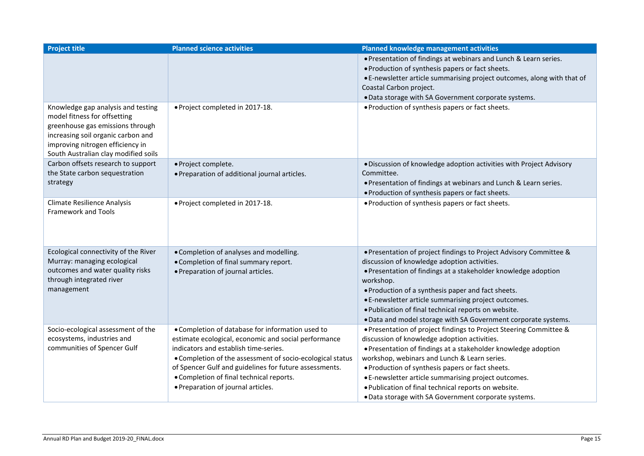| <b>Project title</b>                                                                                                                                                                                                     | <b>Planned science activities</b>                                                                        | <b>Planned knowledge management activities</b>                                                                                                                                                                                                                                     |
|--------------------------------------------------------------------------------------------------------------------------------------------------------------------------------------------------------------------------|----------------------------------------------------------------------------------------------------------|------------------------------------------------------------------------------------------------------------------------------------------------------------------------------------------------------------------------------------------------------------------------------------|
|                                                                                                                                                                                                                          |                                                                                                          | • Presentation of findings at webinars and Lunch & Learn series.<br>. Production of synthesis papers or fact sheets.<br>• E-newsletter article summarising project outcomes, along with that of<br>Coastal Carbon project.<br>. Data storage with SA Government corporate systems. |
| Knowledge gap analysis and testing<br>model fitness for offsetting<br>greenhouse gas emissions through<br>increasing soil organic carbon and<br>improving nitrogen efficiency in<br>South Australian clay modified soils | · Project completed in 2017-18.                                                                          | . Production of synthesis papers or fact sheets.                                                                                                                                                                                                                                   |
| Carbon offsets research to support<br>the State carbon sequestration<br>strategy                                                                                                                                         | · Project complete.<br>. Preparation of additional journal articles.                                     | · Discussion of knowledge adoption activities with Project Advisory<br>Committee.<br>• Presentation of findings at webinars and Lunch & Learn series.<br>. Production of synthesis papers or fact sheets.                                                                          |
| <b>Climate Resilience Analysis</b><br><b>Framework and Tools</b>                                                                                                                                                         | • Project completed in 2017-18.                                                                          | • Production of synthesis papers or fact sheets.                                                                                                                                                                                                                                   |
| Ecological connectivity of the River                                                                                                                                                                                     | . Completion of analyses and modelling.                                                                  | • Presentation of project findings to Project Advisory Committee &                                                                                                                                                                                                                 |
| Murray: managing ecological                                                                                                                                                                                              | • Completion of final summary report.                                                                    | discussion of knowledge adoption activities.                                                                                                                                                                                                                                       |
| outcomes and water quality risks<br>through integrated river                                                                                                                                                             | • Preparation of journal articles.                                                                       | • Presentation of findings at a stakeholder knowledge adoption<br>workshop.                                                                                                                                                                                                        |
| management                                                                                                                                                                                                               |                                                                                                          | . Production of a synthesis paper and fact sheets.                                                                                                                                                                                                                                 |
|                                                                                                                                                                                                                          |                                                                                                          | • E-newsletter article summarising project outcomes.                                                                                                                                                                                                                               |
|                                                                                                                                                                                                                          |                                                                                                          | . Publication of final technical reports on website.                                                                                                                                                                                                                               |
|                                                                                                                                                                                                                          |                                                                                                          | . Data and model storage with SA Government corporate systems.                                                                                                                                                                                                                     |
| Socio-ecological assessment of the<br>ecosystems, industries and                                                                                                                                                         | • Completion of database for information used to<br>estimate ecological, economic and social performance | • Presentation of project findings to Project Steering Committee &<br>discussion of knowledge adoption activities.                                                                                                                                                                 |
| communities of Spencer Gulf                                                                                                                                                                                              | indicators and establish time-series.                                                                    | • Presentation of findings at a stakeholder knowledge adoption                                                                                                                                                                                                                     |
|                                                                                                                                                                                                                          | • Completion of the assessment of socio-ecological status                                                | workshop, webinars and Lunch & Learn series.                                                                                                                                                                                                                                       |
|                                                                                                                                                                                                                          | of Spencer Gulf and guidelines for future assessments.                                                   | . Production of synthesis papers or fact sheets.                                                                                                                                                                                                                                   |
|                                                                                                                                                                                                                          | • Completion of final technical reports.                                                                 | • E-newsletter article summarising project outcomes.                                                                                                                                                                                                                               |
|                                                                                                                                                                                                                          | • Preparation of journal articles.                                                                       | . Publication of final technical reports on website.                                                                                                                                                                                                                               |
|                                                                                                                                                                                                                          |                                                                                                          | . Data storage with SA Government corporate systems.                                                                                                                                                                                                                               |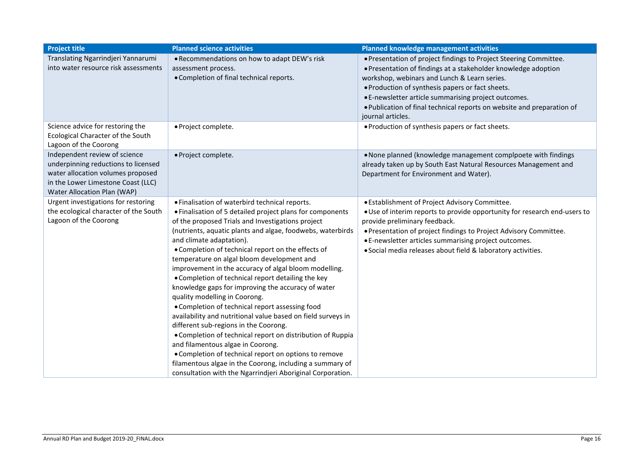| <b>Project title</b>                                       | <b>Planned science activities</b>                            | <b>Planned knowledge management activities</b>                            |
|------------------------------------------------------------|--------------------------------------------------------------|---------------------------------------------------------------------------|
| Translating Ngarrindjeri Yannarumi                         | . Recommendations on how to adapt DEW's risk                 | . Presentation of project findings to Project Steering Committee.         |
| into water resource risk assessments                       | assessment process.                                          | • Presentation of findings at a stakeholder knowledge adoption            |
|                                                            | • Completion of final technical reports.                     | workshop, webinars and Lunch & Learn series.                              |
|                                                            |                                                              | . Production of synthesis papers or fact sheets.                          |
|                                                            |                                                              | • E-newsletter article summarising project outcomes.                      |
|                                                            |                                                              | . Publication of final technical reports on website and preparation of    |
|                                                            |                                                              | journal articles.                                                         |
| Science advice for restoring the                           | · Project complete.                                          | . Production of synthesis papers or fact sheets.                          |
| Ecological Character of the South<br>Lagoon of the Coorong |                                                              |                                                                           |
| Independent review of science                              | · Project complete.                                          | . None planned (knowledge management complpoete with findings             |
| underpinning reductions to licensed                        |                                                              | already taken up by South East Natural Resources Management and           |
| water allocation volumes proposed                          |                                                              | Department for Environment and Water).                                    |
| in the Lower Limestone Coast (LLC)                         |                                                              |                                                                           |
| Water Allocation Plan (WAP)                                |                                                              |                                                                           |
| Urgent investigations for restoring                        | • Finalisation of waterbird technical reports.               | • Establishment of Project Advisory Committee.                            |
| the ecological character of the South                      | • Finalisation of 5 detailed project plans for components    | . Use of interim reports to provide opportunity for research end-users to |
| Lagoon of the Coorong                                      | of the proposed Trials and Investigations project            | provide preliminary feedback.                                             |
|                                                            | (nutrients, aquatic plants and algae, foodwebs, waterbirds   | . Presentation of project findings to Project Advisory Committee.         |
|                                                            | and climate adaptation).                                     | • E-newsletter articles summarising project outcomes.                     |
|                                                            | . Completion of technical report on the effects of           | · Social media releases about field & laboratory activities.              |
|                                                            | temperature on algal bloom development and                   |                                                                           |
|                                                            | improvement in the accuracy of algal bloom modelling.        |                                                                           |
|                                                            | • Completion of technical report detailing the key           |                                                                           |
|                                                            | knowledge gaps for improving the accuracy of water           |                                                                           |
|                                                            | quality modelling in Coorong.                                |                                                                           |
|                                                            | • Completion of technical report assessing food              |                                                                           |
|                                                            | availability and nutritional value based on field surveys in |                                                                           |
|                                                            | different sub-regions in the Coorong.                        |                                                                           |
|                                                            | • Completion of technical report on distribution of Ruppia   |                                                                           |
|                                                            | and filamentous algae in Coorong.                            |                                                                           |
|                                                            | • Completion of technical report on options to remove        |                                                                           |
|                                                            | filamentous algae in the Coorong, including a summary of     |                                                                           |
|                                                            | consultation with the Ngarrindjeri Aboriginal Corporation.   |                                                                           |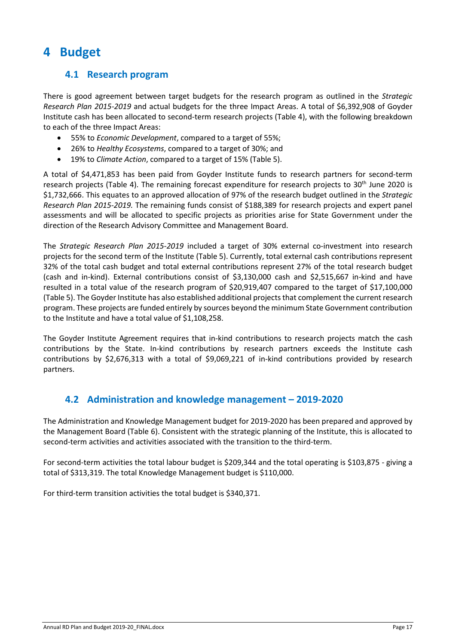## <span id="page-19-1"></span><span id="page-19-0"></span>**4 Budget**

#### **4.1 Research program**

There is good agreement between target budgets for the research program as outlined in the *Strategic Research Plan 2015-2019* and actual budgets for the three Impact Areas. A total of \$6,392,908 of Goyder Institute cash has been allocated to second-term research projects (Table 4), with the following breakdown to each of the three Impact Areas:

- 55% to *Economic Development*, compared to a target of 55%;
- 26% to *Healthy Ecosystems*, compared to a target of 30%; and
- 19% to *Climate Action*, compared to a target of 15% (Table 5).

A total of \$4,471,853 has been paid from Goyder Institute funds to research partners for second-term research projects (Table 4). The remaining forecast expenditure for research projects to 30<sup>th</sup> June 2020 is \$1,732,666. This equates to an approved allocation of 97% of the research budget outlined in the *Strategic Research Plan 2015-2019.* The remaining funds consist of \$188,389 for research projects and expert panel assessments and will be allocated to specific projects as priorities arise for State Government under the direction of the Research Advisory Committee and Management Board.

The *Strategic Research Plan 2015-2019* included a target of 30% external co-investment into research projects for the second term of the Institute (Table 5). Currently, total external cash contributions represent 32% of the total cash budget and total external contributions represent 27% of the total research budget (cash and in-kind). External contributions consist of \$3,130,000 cash and \$2,515,667 in-kind and have resulted in a total value of the research program of \$20,919,407 compared to the target of \$17,100,000 (Table 5). The Goyder Institute has also established additional projects that complement the current research program. These projects are funded entirely by sources beyond the minimum State Government contribution to the Institute and have a total value of \$1,108,258.

The Goyder Institute Agreement requires that in-kind contributions to research projects match the cash contributions by the State. In-kind contributions by research partners exceeds the Institute cash contributions by \$2,676,313 with a total of \$9,069,221 of in-kind contributions provided by research partners.

#### <span id="page-19-2"></span>**4.2 Administration and knowledge management – 2019-2020**

The Administration and Knowledge Management budget for 2019-2020 has been prepared and approved by the Management Board (Table 6). Consistent with the strategic planning of the Institute, this is allocated to second-term activities and activities associated with the transition to the third-term.

For second-term activities the total labour budget is \$209,344 and the total operating is \$103,875 - giving a total of \$313,319. The total Knowledge Management budget is \$110,000.

For third-term transition activities the total budget is \$340,371.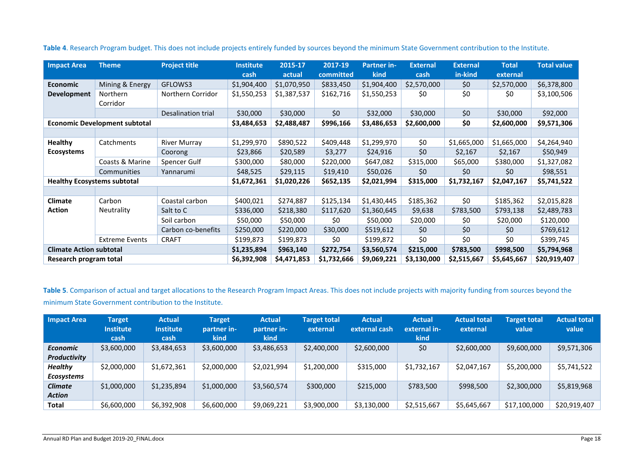| <b>Impact Area</b>                 | <b>Project title</b><br><b>Theme</b> |                    | <b>Institute</b> | 2015-17     | 2017-19     | <b>Partner in-</b> | <b>External</b> | <b>External</b> | <b>Total</b> | <b>Total value</b> |
|------------------------------------|--------------------------------------|--------------------|------------------|-------------|-------------|--------------------|-----------------|-----------------|--------------|--------------------|
|                                    |                                      |                    | cash             | actual      | committed   | kind               | cash            | in-kind         | external     |                    |
| <b>Economic</b>                    | Mining & Energy                      | GFLOWS3            | \$1,904,400      | \$1,070,950 | \$833,450   | \$1,904,400        | \$2,570,000     | \$0             | \$2,570,000  | \$6,378,800        |
| Development                        | <b>Northern</b>                      | Northern Corridor  | \$1,550,253      | \$1,387,537 | \$162,716   | \$1,550,253        | \$0             | \$0             | \$0          | \$3,100,506        |
|                                    | Corridor                             |                    |                  |             |             |                    |                 |                 |              |                    |
|                                    |                                      | Desalination trial | \$30,000         | \$30,000    | \$0         | \$32,000           | \$30,000        | \$0             | \$30,000     | \$92,000           |
|                                    | <b>Economic Development subtotal</b> |                    | \$3,484,653      | \$2,488,487 | \$996,166   | \$3,486,653        | \$2,600,000     | \$0             | \$2,600,000  | \$9,571,306        |
|                                    |                                      |                    |                  |             |             |                    |                 |                 |              |                    |
| <b>Healthy</b>                     | Catchments                           | River Murray       | \$1,299,970      | \$890,522   | \$409,448   | \$1,299,970        | \$0             | \$1,665,000     | \$1,665,000  | \$4,264,940        |
| <b>Ecosystems</b>                  |                                      | Coorong            | \$23,866         | \$20,589    | \$3,277     | \$24,916           | \$0             | \$2,167         | \$2,167      | \$50,949           |
|                                    | Coasts & Marine                      | Spencer Gulf       | \$300,000        | \$80,000    | \$220,000   | \$647,082          | \$315,000       | \$65,000        | \$380,000    | \$1,327,082        |
|                                    | Communities                          | Yannarumi          | \$48,525         | \$29,115    | \$19,410    | \$50,026           | \$0             | \$0             | \$0          | \$98,551           |
| <b>Healthy Ecosystems subtotal</b> |                                      | \$1,672,361        | \$1,020,226      | \$652,135   | \$2,021,994 | \$315,000          | \$1,732,167     | \$2,047,167     | \$5,741,522  |                    |
|                                    |                                      |                    |                  |             |             |                    |                 |                 |              |                    |
| Climate                            | Carbon                               | Coastal carbon     | \$400,021        | \$274,887   | \$125,134   | \$1,430,445        | \$185,362       | \$0             | \$185,362    | \$2,015,828        |
| <b>Action</b>                      | Neutrality                           | Salt to C          | \$336,000        | \$218,380   | \$117,620   | \$1,360,645        | \$9,638         | \$783,500       | \$793,138    | \$2,489,783        |
|                                    |                                      | Soil carbon        | \$50,000         | \$50,000    | \$0         | \$50,000           | \$20,000        | \$0             | \$20,000     | \$120,000          |
|                                    |                                      | Carbon co-benefits | \$250,000        | \$220,000   | \$30,000    | \$519,612          | \$0             | \$0             | \$0          | \$769,612          |
|                                    | <b>Extreme Events</b>                | <b>CRAFT</b>       | \$199,873        | \$199,873   | \$0         | \$199,872          | \$0             | \$0             | \$0          | \$399,745          |
| <b>Climate Action subtotal</b>     |                                      |                    | \$1,235,894      | \$963,140   | \$272,754   | \$3,560,574        | \$215,000       | \$783,500       | \$998,500    | \$5,794,968        |
| Research program total             |                                      | \$6,392,908        | \$4,471,853      | \$1,732,666 | \$9,069,221 | \$3,130,000        | \$2,515,667     | \$5,645,667     | \$20,919,407 |                    |

**Table 4**. Research Program budget. This does not include projects entirely funded by sources beyond the minimum State Government contribution to the Institute.

**Table 5**. Comparison of actual and target allocations to the Research Program Impact Areas. This does not include projects with majority funding from sources beyond the minimum State Government contribution to the Institute.

| <b>Impact Area</b> | <b>Target</b><br><b>Institute</b> | <b>Actual</b><br><b>Institute</b> | <b>Target</b><br>partner in- | <b>Actual</b><br>partner in- | <b>Target total</b><br>external | <b>Actual</b><br>external cash | <b>Actual</b><br>external in-1 | <b>Actual total</b><br>external | Target total<br>value | <b>Actual total</b><br>value |
|--------------------|-----------------------------------|-----------------------------------|------------------------------|------------------------------|---------------------------------|--------------------------------|--------------------------------|---------------------------------|-----------------------|------------------------------|
|                    | cash                              | cash                              | kind                         | kind                         |                                 |                                | kind                           |                                 |                       |                              |
| <b>Economic</b>    | \$3,600,000                       | \$3,484,653                       | \$3,600,000                  | \$3,486,653                  | \$2,400,000                     | \$2,600,000                    | \$0                            | \$2,600,000                     | \$9,600,000           | \$9,571,306                  |
| Productivity       |                                   |                                   |                              |                              |                                 |                                |                                |                                 |                       |                              |
| <b>Healthy</b>     | \$2,000,000                       | \$1,672,361                       | \$2,000,000                  | \$2,021,994                  | \$1,200,000                     | \$315,000                      | \$1,732,167                    | \$2,047,167                     | \$5,200,000           | \$5,741,522                  |
| <b>Ecosystems</b>  |                                   |                                   |                              |                              |                                 |                                |                                |                                 |                       |                              |
| <b>Climate</b>     | \$1,000,000                       | \$1,235,894                       | \$1,000,000                  | \$3,560,574                  | \$300,000                       | \$215,000                      | \$783,500                      | \$998,500                       | \$2,300,000           | \$5,819,968                  |
| <b>Action</b>      |                                   |                                   |                              |                              |                                 |                                |                                |                                 |                       |                              |
| Total              | \$6,600,000                       | \$6,392,908                       | \$6,600,000                  | \$9,069,221                  | \$3,900,000                     | \$3,130,000                    | \$2,515,667                    | \$5,645,667                     | \$17,100,000          | \$20,919,407                 |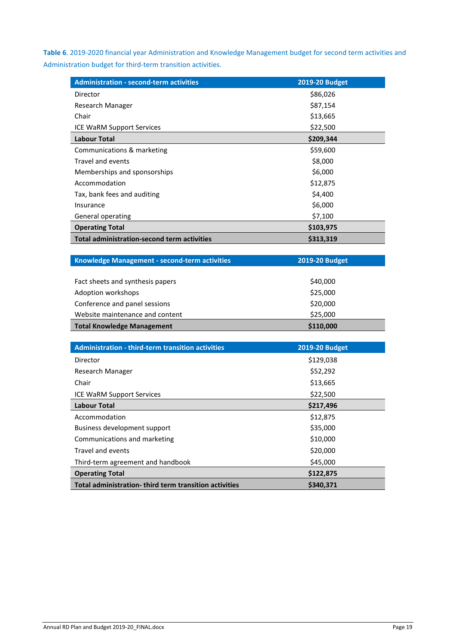**Table 6**. 2019-2020 financial year Administration and Knowledge Management budget for second term activities and Administration budget for third-term transition activities.

| <b>Administration - second-term activities</b>     | 2019-20 Budget |
|----------------------------------------------------|----------------|
| Director                                           | \$86,026       |
| Research Manager                                   | \$87,154       |
| Chair                                              | \$13,665       |
| <b>ICE WaRM Support Services</b>                   | \$22,500       |
| <b>Labour Total</b>                                | \$209,344      |
| Communications & marketing                         | \$59,600       |
| Travel and events                                  | \$8,000        |
| Memberships and sponsorships                       | \$6,000        |
| Accommodation                                      | \$12,875       |
| Tax, bank fees and auditing                        | \$4,400        |
| Insurance                                          | \$6,000        |
| General operating                                  | \$7,100        |
| <b>Operating Total</b>                             | \$103,975      |
| <b>Total administration-second term activities</b> | \$313,319      |

| Knowledge Management - second-term activities | <b>2019-20 Budget</b> |
|-----------------------------------------------|-----------------------|
|                                               |                       |
| Fact sheets and synthesis papers              | \$40,000              |
| Adoption workshops                            | \$25,000              |
| Conference and panel sessions                 | \$20,000              |
| Website maintenance and content               | \$25,000              |
| <b>Total Knowledge Management</b>             | \$110,000             |

| <b>Administration - third-term transition activities</b> | <b>2019-20 Budget</b> |
|----------------------------------------------------------|-----------------------|
| Director                                                 | \$129,038             |
| Research Manager                                         | \$52,292              |
| Chair                                                    | \$13,665              |
| <b>ICE WaRM Support Services</b>                         | \$22,500              |
| <b>Labour Total</b>                                      | \$217,496             |
| Accommodation                                            | \$12,875              |
| Business development support                             | \$35,000              |
| Communications and marketing                             | \$10,000              |
| Travel and events                                        | \$20,000              |
| Third-term agreement and handbook                        | \$45,000              |
| <b>Operating Total</b>                                   | \$122,875             |
| Total administration-third term transition activities    | \$340,371             |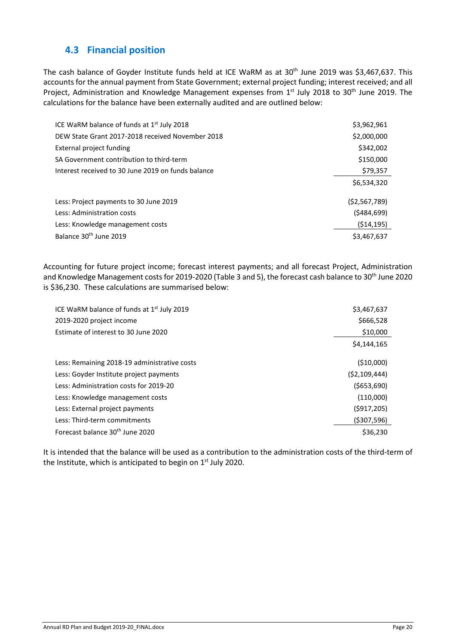## <span id="page-22-0"></span>**4.3 Financial position**

The cash balance of Goyder Institute funds held at ICE WaRM as at 30<sup>th</sup> June 2019 was \$3,467,637. This accounts for the annual payment from State Government; external project funding; interest received; and all Project, Administration and Knowledge Management expenses from 1st July 2018 to 30<sup>th</sup> June 2019. The calculations for the balance have been externally audited and are outlined below:

| ICE WaRM balance of funds at $1st$ July 2018       | \$3,962,961    |
|----------------------------------------------------|----------------|
| DEW State Grant 2017-2018 received November 2018   | \$2,000,000    |
| External project funding                           | \$342,002      |
| SA Government contribution to third-term           | \$150,000      |
| Interest received to 30 June 2019 on funds balance | \$79,357       |
|                                                    | \$6,534,320    |
| Less: Project payments to 30 June 2019             | ( \$2,567,789) |
| Less: Administration costs                         | (5484, 699)    |
| Less: Knowledge management costs                   | (514, 195)     |
| Balance 30 <sup>th</sup> June 2019                 | \$3,467,637    |

Accounting for future project income; forecast interest payments; and all forecast Project, Administration and Knowledge Management costs for 2019-2020 (Table 3 and 5), the forecast cash balance to 30<sup>th</sup> June 2020 is \$36,230. These calculations are summarised below:

| ICE WaRM balance of funds at $1st$ July 2019 | \$3,467,637    |
|----------------------------------------------|----------------|
| 2019-2020 project income                     | \$666,528      |
| Estimate of interest to 30 June 2020         | \$10,000       |
|                                              | \$4,144,165    |
| Less: Remaining 2018-19 administrative costs | ( \$10,000)    |
| Less: Goyder Institute project payments      | (52, 109, 444) |
| Less: Administration costs for 2019-20       | (5653,690)     |
| Less: Knowledge management costs             | (110,000)      |
| Less: External project payments              | (5917, 205)    |
| Less: Third-term commitments                 | (5307, 596)    |
| Forecast balance 30 <sup>th</sup> June 2020  | \$36,230       |

It is intended that the balance will be used as a contribution to the administration costs of the third-term of the Institute, which is anticipated to begin on 1<sup>st</sup> July 2020.